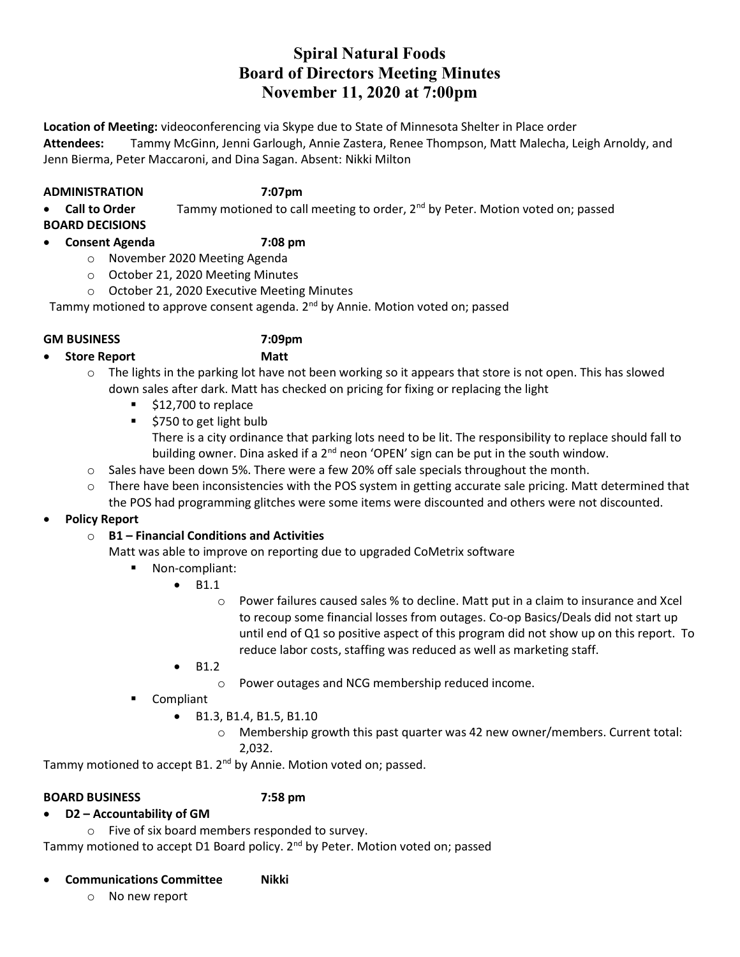# Spiral Natural Foods Board of Directors Meeting Minutes November 11, 2020 at 7:00pm

Location of Meeting: videoconferencing via Skype due to State of Minnesota Shelter in Place order Attendees: Tammy McGinn, Jenni Garlough, Annie Zastera, Renee Thompson, Matt Malecha, Leigh Arnoldy, and Jenn Bierma, Peter Maccaroni, and Dina Sagan. Absent: Nikki Milton

### ADMINISTRATION 7:07pm

Call to Order  $\blacksquare$  Tammy motioned to call meeting to order,  $2^{nd}$  by Peter. Motion voted on; passed

BOARD DECISIONS

# Consent Agenda 7:08 pm

- o November 2020 Meeting Agenda
- o October 21, 2020 Meeting Minutes
- o October 21, 2020 Executive Meeting Minutes

Tammy motioned to approve consent agenda.  $2<sup>nd</sup>$  by Annie. Motion voted on; passed

### GM BUSINESS 7:09pm

Store Report Matt

- $\circ$  The lights in the parking lot have not been working so it appears that store is not open. This has slowed down sales after dark. Matt has checked on pricing for fixing or replacing the light
	- $\frac{1}{2}$  \$12,700 to replace
	- $\overline{\phantom{a}}$  \$750 to get light bulb There is a city ordinance that parking lots need to be lit. The responsibility to replace should fall to building owner. Dina asked if a  $2<sup>nd</sup>$  neon 'OPEN' sign can be put in the south window.
- $\circ$  Sales have been down 5%. There were a few 20% off sale specials throughout the month.
- $\circ$  There have been inconsistencies with the POS system in getting accurate sale pricing. Matt determined that the POS had programming glitches were some items were discounted and others were not discounted.

### Policy Report

# $\circ$  B1 – Financial Conditions and Activities

- Matt was able to improve on reporting due to upgraded CoMetrix software
	- Non-compliant:
		- $-B1.1$ 
			- o Power failures caused sales % to decline. Matt put in a claim to insurance and Xcel to recoup some financial losses from outages. Co-op Basics/Deals did not start up until end of Q1 so positive aspect of this program did not show up on this report. To reduce labor costs, staffing was reduced as well as marketing staff.
		- B1.2
			- o Power outages and NCG membership reduced income.
	- **Compliant** 
		- B1.3, B1.4, B1.5, B1.10
			- $\circ$  Membership growth this past quarter was 42 new owner/members. Current total: 2,032.

Tammy motioned to accept B1. 2<sup>nd</sup> by Annie. Motion voted on; passed.

### BOARD BUSINESS 7:58 pm

# D2 – Accountability of GM

o Five of six board members responded to survey.

Tammy motioned to accept D1 Board policy. 2<sup>nd</sup> by Peter. Motion voted on; passed

# Communications Committee Nikki

o No new report